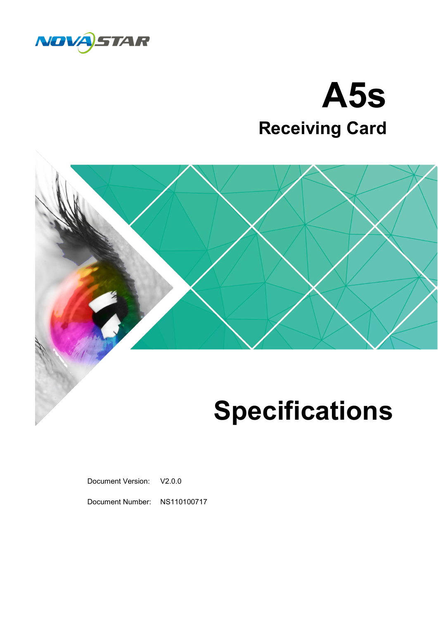

## **A5s Receiving Card**



## **Specifications**

Document Version: V2.0.0

Document Number: NS110100717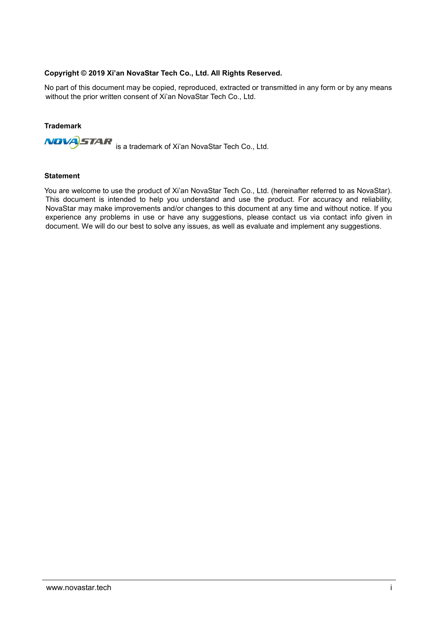#### **Copyright © 2019 Xi'an NovaStar Tech Co., Ltd. All Rights Reserved.**

No part of this document may be copied, reproduced, extracted or transmitted in any form or by any means without the prior written consent of Xi'an NovaStar Tech Co., Ltd.

#### **Trademark**



#### **Statement**

You are welcome to use the product of Xi'an NovaStar Tech Co., Ltd. (hereinafter referred to as NovaStar). This document is intended to help you understand and use the product. For accuracy and reliability, NovaStar may make improvements and/or changes to this document at any time and without notice. If you experience any problems in use or have any suggestions, please contact us via contact info given in document. We will do our best to solve any issues, as well as evaluate and implement any suggestions.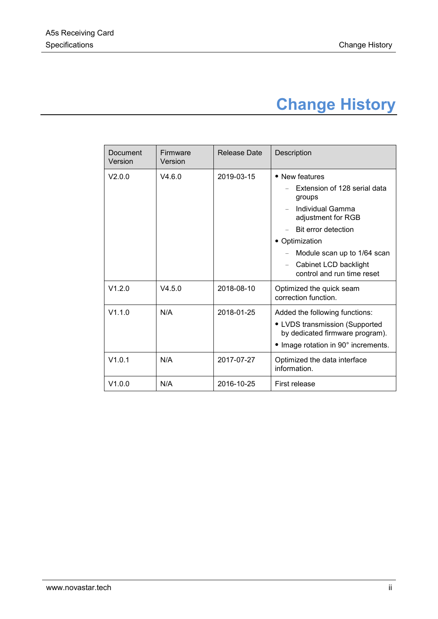## **Change History**

<span id="page-2-0"></span>

| Document<br>Version | Firmware<br>Version | Release Date | Description                                                                                                                                |
|---------------------|---------------------|--------------|--------------------------------------------------------------------------------------------------------------------------------------------|
| V2.0.0              | V4.6.0              | 2019-03-15   | • New features                                                                                                                             |
|                     |                     |              | Extension of 128 serial data<br>groups                                                                                                     |
|                     |                     |              | Individual Gamma<br>adjustment for RGB                                                                                                     |
|                     |                     |              | Bit error detection                                                                                                                        |
|                     |                     |              | • Optimization                                                                                                                             |
|                     |                     |              | Module scan up to 1/64 scan                                                                                                                |
|                     |                     |              | Cabinet LCD backlight<br>control and run time reset                                                                                        |
| V1.2.0              | V4.5.0              | 2018-08-10   | Optimized the quick seam<br>correction function.                                                                                           |
| V1.1.0              | N/A                 | 2018-01-25   | Added the following functions:<br>• LVDS transmission (Supported<br>by dedicated firmware program).<br>• Image rotation in 90° increments. |
| V1.0.1              | N/A                 | 2017-07-27   | Optimized the data interface<br>information.                                                                                               |
| V1.0.0              | N/A                 | 2016-10-25   | First release                                                                                                                              |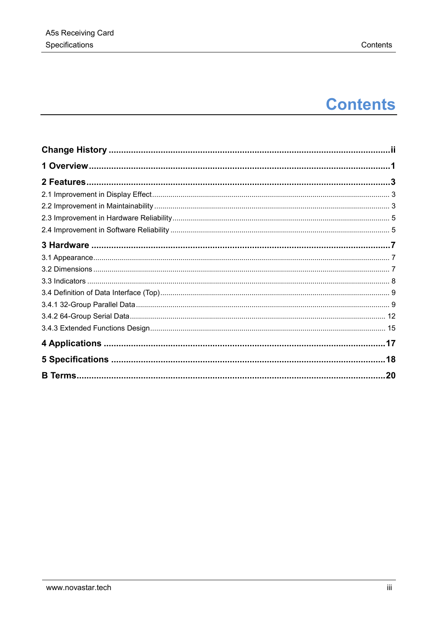## **Contents**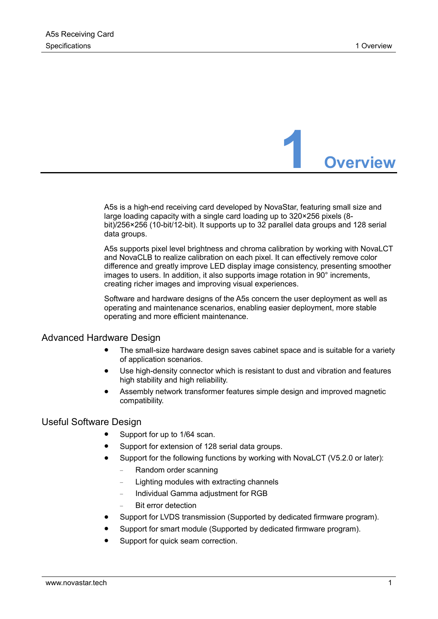

<span id="page-4-0"></span>A5s is a high-end receiving card developed by NovaStar, featuring small size and large loading capacity with a single card loading up to 320×256 pixels (8 bit)/256×256 (10-bit/12-bit). It supports up to 32 parallel data groups and 128 serial data groups.

A5s supports pixel level brightness and chroma calibration by working with NovaLCT and NovaCLB to realize calibration on each pixel. It can effectively remove color difference and greatly improve LED display image consistency, presenting smoother images to users. In addition, it also supports image rotation in 90° increments, creating richer images and improving visual experiences.

Software and hardware designs of the A5s concern the user deployment as well as operating and maintenance scenarios, enabling easier deployment, more stable operating and more efficient maintenance.

#### Advanced Hardware Design

- The small-size hardware design saves cabinet space and is suitable for a variety of application scenarios.
- Use high-density connector which is resistant to dust and vibration and features high stability and high reliability.
- Assembly network transformer features simple design and improved magnetic compatibility.

#### Useful Software Design

- Support for up to 1/64 scan.
- Support for extension of 128 serial data groups.
- Support for the following functions by working with NovaLCT (V5.2.0 or later):
	- − Random order scanning
	- Lighting modules with extracting channels
	- − Individual Gamma adjustment for RGB
	- Bit error detection
- Support for LVDS transmission (Supported by dedicated firmware program).
- Support for smart module (Supported by dedicated firmware program).
- Support for quick seam correction.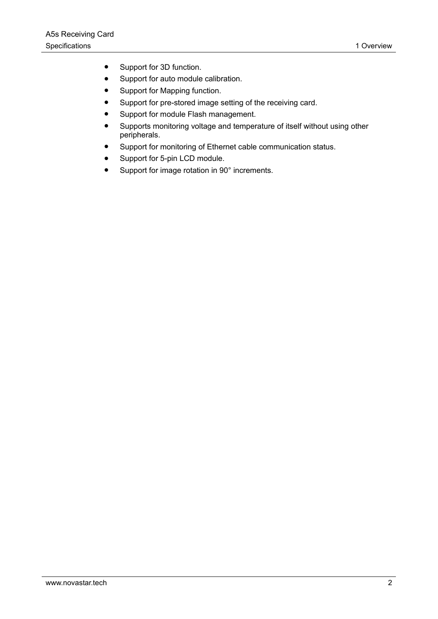- Support for 3D function.
- Support for auto module calibration.
- Support for Mapping function.
- Support for pre-stored image setting of the receiving card.
- Support for module Flash management.
- Supports monitoring voltage and temperature of itself without using other peripherals.
- Support for monitoring of Ethernet cable communication status.
- Support for 5-pin LCD module.
- Support for image rotation in 90° increments.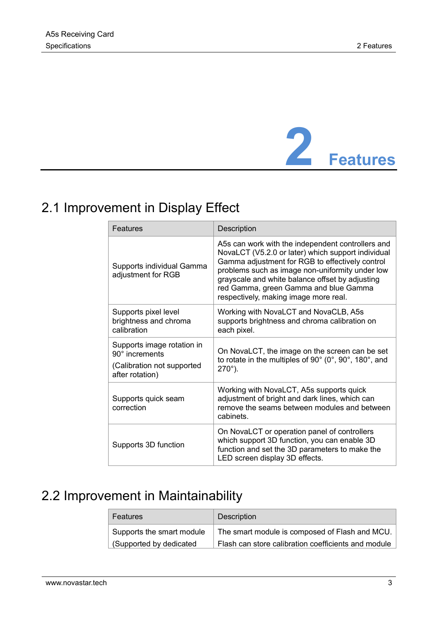

## <span id="page-6-1"></span><span id="page-6-0"></span>2.1 Improvement in Display Effect

| Features                                                                                             | Description                                                                                                                                                                                                                                                                                                                                        |
|------------------------------------------------------------------------------------------------------|----------------------------------------------------------------------------------------------------------------------------------------------------------------------------------------------------------------------------------------------------------------------------------------------------------------------------------------------------|
| Supports individual Gamma<br>adjustment for RGB                                                      | A5s can work with the independent controllers and<br>NovaLCT (V5.2.0 or later) which support individual<br>Gamma adjustment for RGB to effectively control<br>problems such as image non-uniformity under low<br>grayscale and white balance offset by adjusting<br>red Gamma, green Gamma and blue Gamma<br>respectively, making image more real. |
| Supports pixel level<br>brightness and chroma<br>calibration                                         | Working with NovaLCT and NovaCLB, A5s<br>supports brightness and chroma calibration on<br>each pixel.                                                                                                                                                                                                                                              |
| Supports image rotation in<br>$90^\circ$ increments<br>(Calibration not supported<br>after rotation) | On NovaLCT, the image on the screen can be set<br>to rotate in the multiples of 90° (0°, 90°, 180°, and<br>$270^{\circ}$ ).                                                                                                                                                                                                                        |
| Supports quick seam<br>correction                                                                    | Working with NovaLCT, A5s supports quick<br>adjustment of bright and dark lines, which can<br>remove the seams between modules and between<br>cabinets.                                                                                                                                                                                            |
| Supports 3D function                                                                                 | On NovaLCT or operation panel of controllers<br>which support 3D function, you can enable 3D<br>function and set the 3D parameters to make the<br>LED screen display 3D effects.                                                                                                                                                                   |

## <span id="page-6-2"></span>2.2 Improvement in Maintainability

| Features                  | Description                                         |
|---------------------------|-----------------------------------------------------|
| Supports the smart module | The smart module is composed of Flash and MCU.      |
| Supported by dedicated    | Flash can store calibration coefficients and module |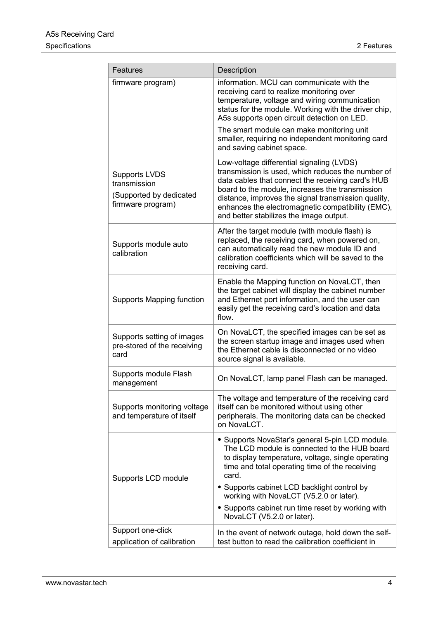| Features                                                                             | Description                                                                                                                                                                                                                                                                                                                                                   |
|--------------------------------------------------------------------------------------|---------------------------------------------------------------------------------------------------------------------------------------------------------------------------------------------------------------------------------------------------------------------------------------------------------------------------------------------------------------|
| firmware program)                                                                    | information. MCU can communicate with the<br>receiving card to realize monitoring over<br>temperature, voltage and wiring communication<br>status for the module. Working with the driver chip,<br>A5s supports open circuit detection on LED.                                                                                                                |
|                                                                                      | The smart module can make monitoring unit<br>smaller, requiring no independent monitoring card<br>and saving cabinet space.                                                                                                                                                                                                                                   |
| <b>Supports LVDS</b><br>transmission<br>(Supported by dedicated<br>firmware program) | Low-voltage differential signaling (LVDS)<br>transmission is used, which reduces the number of<br>data cables that connect the receiving card's HUB<br>board to the module, increases the transmission<br>distance, improves the signal transmission quality,<br>enhances the electromagnetic compatibility (EMC),<br>and better stabilizes the image output. |
| Supports module auto<br>calibration                                                  | After the target module (with module flash) is<br>replaced, the receiving card, when powered on,<br>can automatically read the new module ID and<br>calibration coefficients which will be saved to the<br>receiving card.                                                                                                                                    |
| <b>Supports Mapping function</b>                                                     | Enable the Mapping function on NovaLCT, then<br>the target cabinet will display the cabinet number<br>and Ethernet port information, and the user can<br>easily get the receiving card's location and data<br>flow.                                                                                                                                           |
| Supports setting of images<br>pre-stored of the receiving<br>card                    | On NovaLCT, the specified images can be set as<br>the screen startup image and images used when<br>the Ethernet cable is disconnected or no video<br>source signal is available.                                                                                                                                                                              |
| Supports module Flash<br>management                                                  | On NovaLCT, lamp panel Flash can be managed.                                                                                                                                                                                                                                                                                                                  |
| Supports monitoring voltage<br>and temperature of itself                             | The voltage and temperature of the receiving card<br>itself can be monitored without using other<br>peripherals. The monitoring data can be checked<br>on NovaLCT.                                                                                                                                                                                            |
| Supports LCD module                                                                  | • Supports NovaStar's general 5-pin LCD module.<br>The LCD module is connected to the HUB board<br>to display temperature, voltage, single operating<br>time and total operating time of the receiving<br>card.                                                                                                                                               |
|                                                                                      | • Supports cabinet LCD backlight control by<br>working with NovaLCT (V5.2.0 or later).                                                                                                                                                                                                                                                                        |
|                                                                                      | • Supports cabinet run time reset by working with<br>NovaLCT (V5.2.0 or later).                                                                                                                                                                                                                                                                               |
| Support one-click<br>application of calibration                                      | In the event of network outage, hold down the self-<br>test button to read the calibration coefficient in                                                                                                                                                                                                                                                     |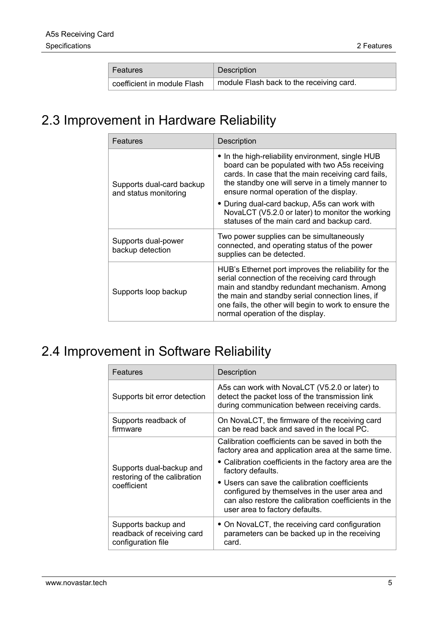| Features                    | Description                              |
|-----------------------------|------------------------------------------|
| coefficient in module Flash | module Flash back to the receiving card. |

## <span id="page-8-0"></span>2.3 Improvement in Hardware Reliability

| Features                                           | Description                                                                                                                                                                                                                                                                                             |  |
|----------------------------------------------------|---------------------------------------------------------------------------------------------------------------------------------------------------------------------------------------------------------------------------------------------------------------------------------------------------------|--|
| Supports dual-card backup<br>and status monitoring | • In the high-reliability environment, single HUB<br>board can be populated with two A5s receiving<br>cards. In case that the main receiving card fails,<br>the standby one will serve in a timely manner to<br>ensure normal operation of the display.                                                 |  |
|                                                    | • During dual-card backup, A5s can work with<br>NovaLCT (V5.2.0 or later) to monitor the working<br>statuses of the main card and backup card.                                                                                                                                                          |  |
| Supports dual-power<br>backup detection            | Two power supplies can be simultaneously<br>connected, and operating status of the power<br>supplies can be detected.                                                                                                                                                                                   |  |
| Supports loop backup                               | HUB's Ethernet port improves the reliability for the<br>serial connection of the receiving card through<br>main and standby redundant mechanism. Among<br>the main and standby serial connection lines, if<br>one fails, the other will begin to work to ensure the<br>normal operation of the display. |  |

## <span id="page-8-1"></span>2.4 Improvement in Software Reliability

| Features                                                                | Description                                                                                                                                                                              |
|-------------------------------------------------------------------------|------------------------------------------------------------------------------------------------------------------------------------------------------------------------------------------|
| Supports bit error detection                                            | A5s can work with NovaLCT (V5.2.0 or later) to<br>detect the packet loss of the transmission link<br>during communication between receiving cards.                                       |
| Supports readback of<br>firmware                                        | On NovaLCT, the firmware of the receiving card<br>can be read back and saved in the local PC.                                                                                            |
|                                                                         | Calibration coefficients can be saved in both the<br>factory area and application area at the same time.                                                                                 |
| Supports dual-backup and<br>restoring of the calibration                | $\bullet$ Calibration coefficients in the factory area are the<br>factory defaults.                                                                                                      |
| coefficient                                                             | • Users can save the calibration coefficients<br>configured by themselves in the user area and<br>can also restore the calibration coefficients in the<br>user area to factory defaults. |
| Supports backup and<br>readback of receiving card<br>configuration file | • On NovaLCT, the receiving card configuration<br>parameters can be backed up in the receiving<br>card.                                                                                  |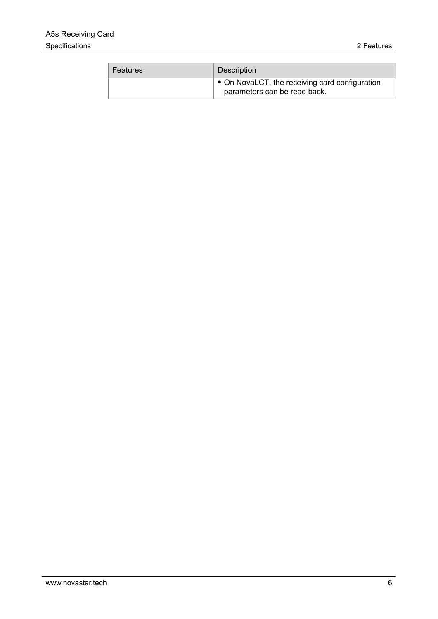| Features | Description                                                                    |
|----------|--------------------------------------------------------------------------------|
|          | • On NovaLCT, the receiving card configuration<br>parameters can be read back. |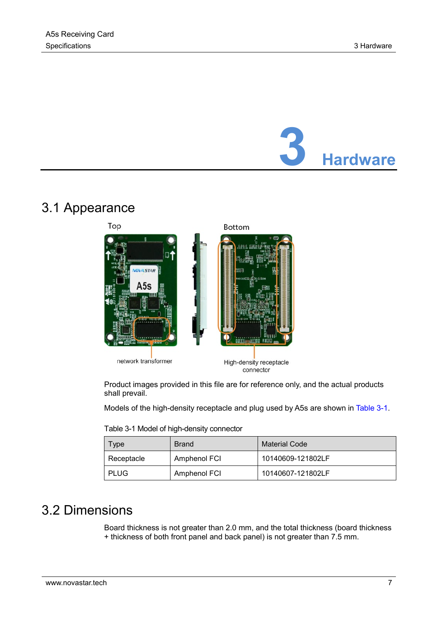# **3 Hardware**

## <span id="page-10-1"></span><span id="page-10-0"></span>3.1 Appearance



Product images provided in this file are for reference only, and the actual products shall prevail.

Models of the high-density receptacle and plug used by A5s are shown in [Table 3-1.](#page-10-3)

| Table 3-1 Model of high-density connector |  |
|-------------------------------------------|--|
|-------------------------------------------|--|

<span id="page-10-3"></span>

| l ype      | <b>Brand</b> | <b>Material Code</b> |
|------------|--------------|----------------------|
| Receptacle | Amphenol FCI | 10140609-121802LF    |
| PLUG       | Amphenol FCI | 10140607-121802LF    |

## <span id="page-10-2"></span>3.2 Dimensions

Board thickness is not greater than 2.0 mm, and the total thickness (board thickness + thickness of both front panel and back panel) is not greater than 7.5 mm.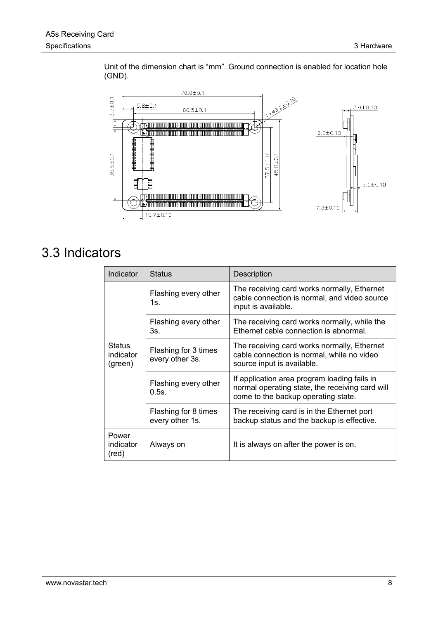Unit of the dimension chart is "mm". Ground connection is enabled for location hole (GND).



## <span id="page-11-0"></span>3.3 Indicators

| Indicator                             | <b>Status</b>                           | Description                                                                                                                            |
|---------------------------------------|-----------------------------------------|----------------------------------------------------------------------------------------------------------------------------------------|
| <b>Status</b><br>indicator<br>(green) | Flashing every other<br>$1s_{-}$        | The receiving card works normally, Ethernet<br>cable connection is normal, and video source<br>input is available.                     |
|                                       | Flashing every other<br>3s.             | The receiving card works normally, while the<br>Ethernet cable connection is abnormal.                                                 |
|                                       | Flashing for 3 times<br>every other 3s. | The receiving card works normally, Ethernet<br>cable connection is normal, while no video<br>source input is available.                |
|                                       | Flashing every other<br>$0.5s$ .        | If application area program loading fails in<br>normal operating state, the receiving card will<br>come to the backup operating state. |
|                                       | Flashing for 8 times<br>every other 1s. | The receiving card is in the Ethernet port<br>backup status and the backup is effective.                                               |
| Power<br>indicator<br>(red)           | Always on                               | It is always on after the power is on.                                                                                                 |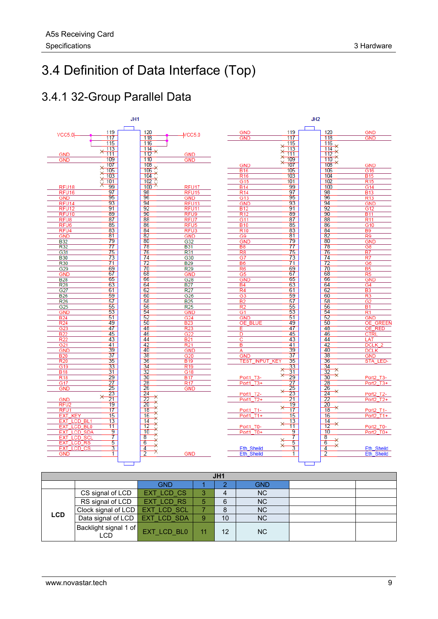## <span id="page-12-0"></span>3.4 Definition of Data Interface (Top)

### <span id="page-12-1"></span>3.4.1 32-Group Parallel Data



| JH1        |                                  |                   |    |    |            |  |
|------------|----------------------------------|-------------------|----|----|------------|--|
|            |                                  | <b>GND</b>        |    |    | <b>GND</b> |  |
|            | CS signal of LCD                 | EXT LCD CS        | 3  | 4  | <b>NC</b>  |  |
|            | RS signal of LCD                 | <b>EXT LCD RS</b> | 5  | 6  | <b>NC</b>  |  |
|            | Clock signal of LCD EXT LCD SCL  |                   |    | 8  | <b>NC</b>  |  |
| <b>LCD</b> | Data signal of LCD   EXT LCD SDA |                   | 9  | 10 | <b>NC</b>  |  |
|            | Backlight signal 1 of<br>LCD     | EXT LCD BL0       | 11 | 12 | <b>NC</b>  |  |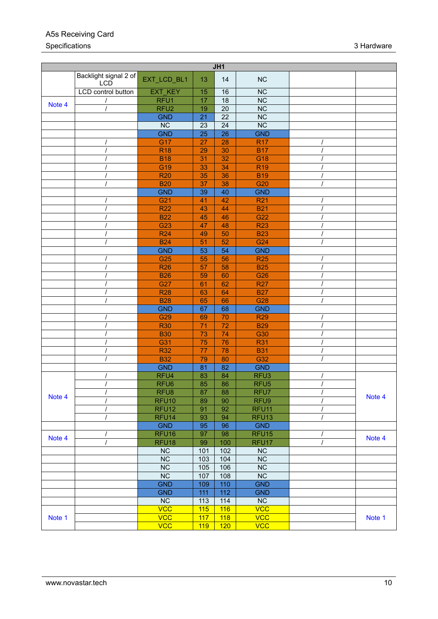#### A5s Receiving Card Specifications 3 Hardware 3 Hardware 3 Hardware 3 Hardware 3 Hardware 3 Hardware 3 Hardware 3 Hardware 3 Hardware 3 Hardware 3 Hardware 3 Hardware 3 Hardware 3 Hardware 3 Hardware 3 Hardware 3 Hardware 3 Hardware 3 Hardwar

| JH1    |                                     |                        |                 |                 |                        |          |        |
|--------|-------------------------------------|------------------------|-----------------|-----------------|------------------------|----------|--------|
|        | Backlight signal 2 of<br><b>LCD</b> | EXT_LCD_BL1            | 13              | 14              | NC                     |          |        |
|        | LCD control button                  | EXT KEY                | 15              | 16              | $\overline{\text{NC}}$ |          |        |
| Note 4 |                                     | RFU1                   | 17              | $\overline{18}$ | $\overline{\text{NC}}$ |          |        |
|        |                                     | RFU <sub>2</sub>       | 19              | $\overline{20}$ | $\overline{\text{NC}}$ |          |        |
|        |                                     | <b>GND</b>             | 21              | 22              | <b>NC</b>              |          |        |
|        |                                     | <b>NC</b>              | 23              | 24              | <b>NC</b>              |          |        |
|        |                                     | <b>GND</b>             | $\overline{25}$ | $\overline{26}$ | <b>GND</b>             |          |        |
|        |                                     | G17                    | 27              | 28              | <b>R17</b>             |          |        |
|        |                                     | <b>R18</b>             | 29              | 30              | <b>B17</b>             |          |        |
|        |                                     | <b>B18</b>             | 31              | 32              | G18                    |          |        |
|        |                                     | G19                    | 33              | 34              | <b>R19</b>             |          |        |
|        |                                     | <b>R20</b>             | 35              | 36              | <b>B19</b>             |          |        |
|        |                                     | <b>B20</b>             | 37              | 38              | G20                    |          |        |
|        |                                     | <b>GND</b>             | 39              | 40              | <b>GND</b>             |          |        |
|        |                                     | G21                    | 41              | 42              | <b>R21</b>             |          |        |
|        |                                     | <b>R22</b>             | 43              | 44              | <b>B21</b>             |          |        |
|        |                                     | <b>B22</b>             | 45              | 46              | G22                    |          |        |
|        |                                     | G <sub>23</sub>        | 47              | 48              | <b>R23</b>             |          |        |
|        |                                     | <b>R24</b>             | 49              | 50              | <b>B23</b>             |          |        |
|        |                                     | <b>B24</b>             | 51              | 52              | G24                    |          |        |
|        |                                     | <b>GND</b>             | 53              | 54              | <b>GND</b>             |          |        |
|        |                                     | G <sub>25</sub>        | 55              | 56              | <b>R25</b>             |          |        |
|        |                                     | <b>R26</b>             | 57              | 58              | <b>B25</b>             |          |        |
|        |                                     | <b>B26</b>             | 59              | 60              | G26                    |          |        |
|        |                                     | G27                    | 61              | 62              | <b>R27</b>             |          |        |
|        |                                     | <b>R28</b>             | 63              | 64              | <b>B27</b>             |          |        |
|        |                                     | <b>B28</b>             | 65              | 66              | G28                    |          |        |
|        |                                     | <b>GND</b>             | 67              | 68              | <b>GND</b>             |          |        |
|        |                                     | G29                    | 69              | 70              | <b>R29</b>             |          |        |
|        |                                     | <b>R30</b>             | 71              | 72              | <b>B29</b>             |          |        |
|        |                                     | <b>B30</b>             | 73              | 74              | G30                    |          |        |
|        |                                     | G31                    | 75              | 76              | <b>R31</b>             |          |        |
|        |                                     | <b>R32</b>             | 77              | 78              | <b>B31</b>             |          |        |
|        |                                     | <b>B32</b>             | 79              | 80              | G32                    |          |        |
|        |                                     | <b>GND</b>             | 81              | 82              | <b>GND</b>             |          |        |
|        |                                     | RFU4                   | 83              | 84              | RFU <sub>3</sub>       |          |        |
|        |                                     | RFU <sub>6</sub>       | 85              | 86              | RFU <sub>5</sub>       |          |        |
|        | $\prime$                            | RFU8                   | 87              | $\overline{88}$ | RFU7                   | $\prime$ |        |
| Note 4 |                                     | RFU <sub>10</sub>      | 89              | 90              | RFU9                   |          | Note 4 |
|        |                                     | RFU <sub>12</sub>      | 91              | 92              | RFU <sub>11</sub>      |          |        |
|        |                                     | RFU <sub>14</sub>      | 93              | 94              | RFU <sub>13</sub>      |          |        |
|        |                                     | <b>GND</b>             | 95              | 96              | <b>GND</b>             |          |        |
|        |                                     | RFU <sub>16</sub>      | 97              | 98              | RFU <sub>15</sub>      |          |        |
| Note 4 |                                     | RFU <sub>18</sub>      | 99              | 100             | RFU <sub>17</sub>      |          | Note 4 |
|        |                                     | NC                     | 101             | 102             | NC                     |          |        |
|        |                                     | NC                     | 103             | 104             | NC                     |          |        |
|        |                                     | $\overline{\text{NC}}$ | 105             | 106             | <b>NC</b>              |          |        |
|        |                                     | $\overline{\text{NC}}$ | 107             | 108             | $\overline{\text{NC}}$ |          |        |
|        |                                     | <b>GND</b>             | 109             | 110             | <b>GND</b>             |          |        |
|        |                                     | <b>GND</b>             | 111             | 112             | <b>GND</b>             |          |        |
|        |                                     | NC                     | 113             | 114             | <b>NC</b>              |          |        |
|        |                                     | <b>VCC</b>             | 115             | 116             | <b>VCC</b>             |          |        |
|        |                                     | <b>VCC</b>             | 117             |                 | <b>VCC</b>             |          |        |
| Note 1 |                                     | <b>VCC</b>             |                 | 118             |                        |          | Note 1 |
|        |                                     |                        | 119             | 120             | <b>VCC</b>             |          |        |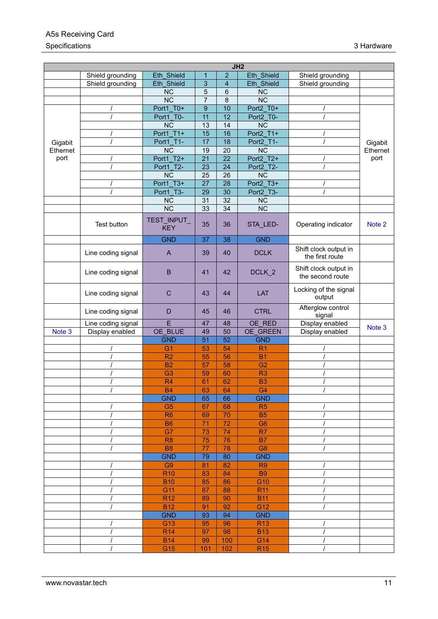#### A5s Receiving Card Specifications 3 Hardware 3 Hardware 3 Hardware 3 Hardware 3 Hardware 3 Hardware 3 Hardware 3 Hardware 3 Hardware 3 Hardware 3 Hardware 3 Hardware 3 Hardware 3 Hardware 3 Hardware 3 Hardware 3 Hardware 3 Hardware 3 Hardwar

|                     |                    |                           |                  |                 | JH2                    |                                           |          |
|---------------------|--------------------|---------------------------|------------------|-----------------|------------------------|-------------------------------------------|----------|
|                     | Shield grounding   | Eth Shield                | $\mathbf{1}$     | $\overline{2}$  | Eth Shield             | Shield grounding                          |          |
|                     | Shield grounding   | Eth Shield                | 3                | $\overline{4}$  | Eth_Shield             | Shield grounding                          |          |
|                     |                    | <b>NC</b>                 | 5                | 6               | <b>NC</b>              |                                           |          |
|                     |                    | $\overline{\text{NC}}$    | $\overline{7}$   | $\overline{8}$  | $\overline{\text{NC}}$ |                                           |          |
|                     |                    | Port1 T0+                 | $\boldsymbol{9}$ | 10              | Port2 T0+              |                                           |          |
|                     |                    | Port1 T0-                 | 11               | 12              | Port2 T0-              |                                           |          |
|                     |                    | <b>NC</b>                 | 13               | 14              | <b>NC</b>              |                                           |          |
|                     |                    | Port1 T1+                 | 15               | 16              | Port2 T1+              |                                           |          |
|                     |                    | Port1_T1-                 | 17               | 18              | Port2_T1-              |                                           | Gigabit  |
| Gigabit<br>Ethernet |                    | $\overline{\text{NC}}$    | 19               | 20              | $\overline{\text{NC}}$ |                                           | Ethernet |
| port                |                    | Port1 T2+                 | 21               | 22              | Port2 T2+              |                                           | port     |
|                     |                    | Port1 T2-                 |                  |                 | Port2 T2-              |                                           |          |
|                     |                    |                           | 23               | 24              |                        |                                           |          |
|                     |                    | <b>NC</b>                 | 25               | 26              | $\overline{\text{NC}}$ |                                           |          |
|                     |                    | Port1 T3+                 | 27               | 28              | Port2 T3+              |                                           |          |
|                     |                    | Port1 T3-                 | 29               | $\overline{30}$ | Port2 T3-              |                                           |          |
|                     |                    | <b>NC</b>                 | 31               | 32              | <b>NC</b>              |                                           |          |
|                     |                    | <b>NC</b>                 | 33               | 34              | <b>NC</b>              |                                           |          |
|                     | Test button        | TEST_INPUT_<br><b>KEY</b> | 35               | 36              | STA_LED-               | Operating indicator                       | Note 2   |
|                     |                    | <b>GND</b>                | 37               | 38              | <b>GND</b>             |                                           |          |
|                     | Line coding signal | $\mathsf{A}$              | 39               | 40              | <b>DCLK</b>            | Shift clock output in<br>the first route  |          |
|                     | Line coding signal | B                         | 41               | 42              | DCLK_2                 | Shift clock output in<br>the second route |          |
|                     | Line coding signal | C                         | 43               | 44              | LAT                    | Locking of the signal<br>output           |          |
|                     | Line coding signal | D                         | 45               | 46              | <b>CTRL</b>            | Afterglow control<br>signal               |          |
|                     | Line coding signal | E                         | 47               | 48              | OE RED                 | Display enabled                           | Note 3   |
| Note 3              | Display enabled    | OE BLUE                   | 49               | 50              | OE_GREEN               | Display enabled                           |          |
|                     |                    | <b>GND</b>                | 51               | 52              | <b>GND</b>             |                                           |          |
|                     |                    | G <sub>1</sub>            | 53               | 54              | R <sub>1</sub>         |                                           |          |
|                     |                    | R <sub>2</sub>            | 55               | 56              | <b>B1</b>              |                                           |          |
|                     |                    | <b>B2</b>                 | 57               | 58              | G <sub>2</sub>         |                                           |          |
|                     |                    | G <sub>3</sub>            | 59               | 60              | R <sub>3</sub>         |                                           |          |
|                     |                    | R <sub>4</sub>            | 61               | 62              | B <sub>3</sub>         |                                           |          |
|                     |                    | <b>B4</b>                 | 63               | 64              | G <sub>4</sub>         |                                           |          |
|                     |                    | <b>GND</b>                | 65               | 66              | <b>GND</b>             |                                           |          |
|                     |                    | G <sub>5</sub>            | 67               | 68              | R <sub>5</sub>         |                                           |          |
|                     |                    | R <sub>6</sub>            | 69               | 70              | <b>B5</b>              |                                           |          |
|                     |                    | <b>B6</b>                 | $\overline{71}$  | $\overline{72}$ | G <sub>6</sub>         |                                           |          |
|                     |                    | G7                        | 73               | 74              | R7                     |                                           |          |
|                     |                    | R <sub>8</sub>            | 75               | 76              | <b>B7</b>              |                                           |          |
|                     |                    | <b>B8</b>                 | 77               | 78              | G <sub>8</sub>         |                                           |          |
|                     |                    | <b>GND</b>                | 79               | 80              | <b>GND</b>             |                                           |          |
|                     |                    | G <sub>9</sub>            | 81               | 82              | R <sub>9</sub>         |                                           |          |
|                     |                    | <b>R10</b>                | 83               | 84              | <b>B9</b>              |                                           |          |
|                     |                    | <b>B10</b>                | 85               | 86              | G10                    |                                           |          |
|                     |                    | G11                       | 87               | 88              | R <sub>11</sub>        |                                           |          |
|                     |                    | <b>R12</b>                | 89               | 90              | <b>B11</b>             |                                           |          |
|                     |                    | <b>B12</b>                | 91               | 92              | G12                    |                                           |          |
|                     |                    | <b>GND</b>                |                  | 94              | <b>GND</b>             |                                           |          |
|                     |                    |                           | 93               |                 |                        |                                           |          |
|                     |                    | G13                       | 95               | 96              | <b>R13</b>             |                                           |          |
|                     | $\overline{I}$     | <b>R14</b>                | 97               | 98              | <b>B13</b>             |                                           |          |
|                     |                    | <b>B14</b>                | 99               | 100             | G14                    |                                           |          |
|                     |                    | G15                       | 101              | 102             | <b>R15</b>             |                                           |          |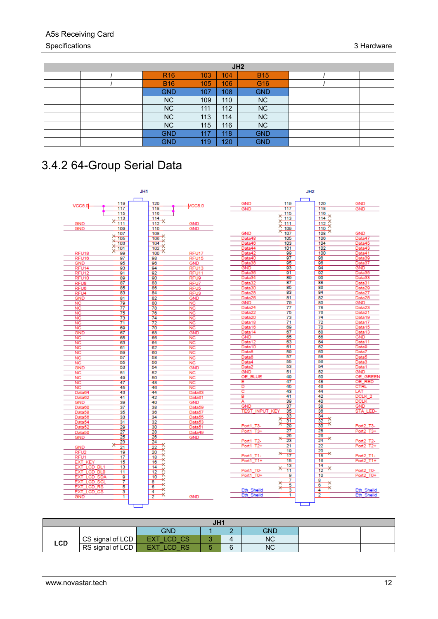#### A5s Receiving Card Specifications 3 Hardware

| JH <sub>2</sub> |     |     |            |  |  |  |
|-----------------|-----|-----|------------|--|--|--|
| R <sub>16</sub> | 103 | 104 | <b>B15</b> |  |  |  |
| <b>B16</b>      | 105 | 106 | G16        |  |  |  |
| <b>GND</b>      | 107 | 108 | <b>GND</b> |  |  |  |
| <b>NC</b>       | 109 | 110 | <b>NC</b>  |  |  |  |
| <b>NC</b>       | 111 | 112 | <b>NC</b>  |  |  |  |
| <b>NC</b>       | 113 | 114 | <b>NC</b>  |  |  |  |
| <b>NC</b>       | 115 | 116 | <b>NC</b>  |  |  |  |
| <b>GND</b>      | 117 | 118 | <b>GND</b> |  |  |  |
| <b>GND</b>      | 119 | 120 | <b>GND</b> |  |  |  |

## <span id="page-15-0"></span>3.4.2 64-Group Serial Data



| JH <sub>1</sub>        |                  |           |  |   |           |  |  |
|------------------------|------------------|-----------|--|---|-----------|--|--|
| GND<br><b>GND</b><br>⌒ |                  |           |  |   |           |  |  |
| LCD                    | CS signal of LCD | CS        |  |   | <b>NC</b> |  |  |
|                        | RS signal of LCD | <b>RS</b> |  | 6 | <b>NC</b> |  |  |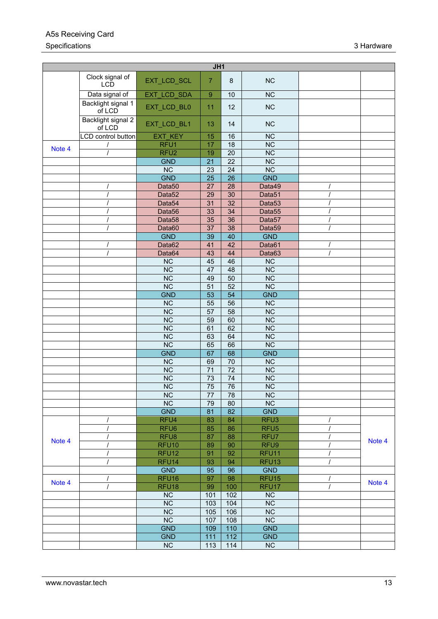#### A5s Receiving Card Specifications 3 Hardware 3 Hardware 3 Hardware 3 Hardware 3 Hardware 3 Hardware 3 Hardware 3 Hardware 3 Hardware 3 Hardware 3 Hardware 3 Hardware 3 Hardware 3 Hardware 3 Hardware 3 Hardware 3 Hardware 3 Hardware 3 Hardwar

| JH1    |                               |                        |                 |                 |                        |        |
|--------|-------------------------------|------------------------|-----------------|-----------------|------------------------|--------|
|        | Clock signal of<br><b>LCD</b> | EXT_LCD_SCL            | $\overline{7}$  | $\bf 8$         | <b>NC</b>              |        |
|        | Data signal of                | EXT_LCD_SDA            | $\overline{9}$  | 10              | $\overline{\text{NC}}$ |        |
|        | Backlight signal 1<br>of LCD  | EXT_LCD_BL0            | 11              | 12              | <b>NC</b>              |        |
|        | Backlight signal 2<br>of LCD  | EXT_LCD_BL1            | 13              | 14              | <b>NC</b>              |        |
|        | LCD control button            | <b>EXT KEY</b>         | 15              | 16              | <b>NC</b>              |        |
| Note 4 |                               | RFU <sub>1</sub>       | 17              | $\overline{18}$ | $\overline{\text{NC}}$ |        |
|        |                               | RFU <sub>2</sub>       | 19              | $\overline{20}$ | $\overline{\text{NC}}$ |        |
|        |                               | <b>GND</b>             | 21              | $\overline{22}$ | $\overline{\text{NC}}$ |        |
|        |                               | <b>NC</b>              | 23              | 24              | $\overline{\text{NC}}$ |        |
|        |                               | <b>GND</b>             | $\overline{25}$ | $\overline{26}$ | <b>GND</b>             |        |
|        |                               | Data <sub>50</sub>     | $\overline{27}$ | $\overline{28}$ | Data49                 |        |
|        |                               | Data <sub>52</sub>     | 29              | 30              | Data51                 |        |
|        |                               | Data <sub>54</sub>     | 31              | 32              | Data <sub>53</sub>     |        |
|        |                               | Data56                 | 33              | 34              | Data <sub>55</sub>     |        |
|        |                               | Data <sub>58</sub>     | 35              | 36              | Data57                 |        |
|        |                               | Data60                 | 37              | 38              | Data59                 |        |
|        |                               | <b>GND</b>             | 39              | 40              | <b>GND</b>             |        |
|        |                               | Data62                 | 41              | 42              | Data61                 |        |
|        |                               | Data64                 | 43              | 44              | Data63                 |        |
|        |                               | <b>NC</b>              | 45              | 46              | <b>NC</b>              |        |
|        |                               | <b>NC</b>              | 47              | 48              | NC                     |        |
|        |                               | <b>NC</b>              | 49              | 50              | <b>NC</b>              |        |
|        |                               | $\overline{\text{NC}}$ | $\overline{51}$ | 52              | $\overline{\text{NC}}$ |        |
|        |                               | <b>GND</b>             | $\overline{53}$ | $\overline{54}$ | <b>GND</b>             |        |
|        |                               | <b>NC</b>              | 55              | 56              | <b>NC</b>              |        |
|        |                               | NC                     | 57              | 58              | NC                     |        |
|        |                               | <b>NC</b>              | 59              | 60              | $\overline{NC}$        |        |
|        |                               | <b>NC</b>              | 61              | 62              | <b>NC</b>              |        |
|        |                               | $\overline{\text{NC}}$ | 63              | 64              | $\overline{\text{NC}}$ |        |
|        |                               | $\overline{\text{NC}}$ | 65              | 66              | $\overline{\text{NC}}$ |        |
|        |                               | <b>GND</b>             | 67              | 68              | <b>GND</b>             |        |
|        |                               | <b>NC</b>              | 69              | 70              | NC                     |        |
|        |                               | $\overline{\text{NC}}$ | $\overline{71}$ | $\overline{72}$ | NC                     |        |
|        |                               | NC                     | $\overline{73}$ | $\overline{74}$ | $\overline{\text{NC}}$ |        |
|        |                               | $\overline{\text{NC}}$ | $\overline{75}$ | $\overline{76}$ | $\overline{\text{NC}}$ |        |
|        |                               | <b>NC</b>              |                 |                 | <b>NC</b>              |        |
|        |                               | $\overline{\text{NC}}$ | 77<br>79        | 78<br>80        | $\overline{\text{NC}}$ |        |
|        |                               | <b>GND</b>             | 81              | 82              | <b>GND</b>             |        |
|        |                               | RFU4                   | 83              | 84              | RFU <sub>3</sub>       |        |
|        |                               | RFU <sub>6</sub>       | 85              | 86              | RFU <sub>5</sub>       |        |
|        |                               |                        |                 |                 |                        |        |
| Note 4 |                               | RFU8                   | 87              | 88              | RFU7                   | Note 4 |
|        |                               | RFU <sub>10</sub>      | 89              | 90              | RFU9                   |        |
|        |                               | RFU <sub>12</sub>      | 91              | 92              | RFU11                  |        |
|        |                               | RFU <sub>14</sub>      | 93              | 94              | RFU <sub>13</sub>      |        |
|        |                               | <b>GND</b>             | 95              | 96              | <b>GND</b>             |        |
| Note 4 |                               | RFU <sub>16</sub>      | 97              | 98              | RFU <sub>15</sub>      | Note 4 |
|        |                               | RFU <sub>18</sub>      | 99              | 100             | RFU17                  |        |
|        |                               | <b>NC</b>              | 101             | 102             | <b>NC</b>              |        |
|        |                               | <b>NC</b>              | 103             | 104             | NC                     |        |
|        |                               | <b>NC</b>              | 105             | 106             | NC                     |        |
|        |                               | <b>NC</b>              | 107             | 108             | <b>NC</b>              |        |
|        |                               | <b>GND</b>             | 109             | 110             | <b>GND</b>             |        |
|        |                               | <b>GND</b>             | 111             | 112             | <b>GND</b>             |        |
|        |                               | $\overline{\text{NC}}$ | 113             | 114             | $\overline{\text{NC}}$ |        |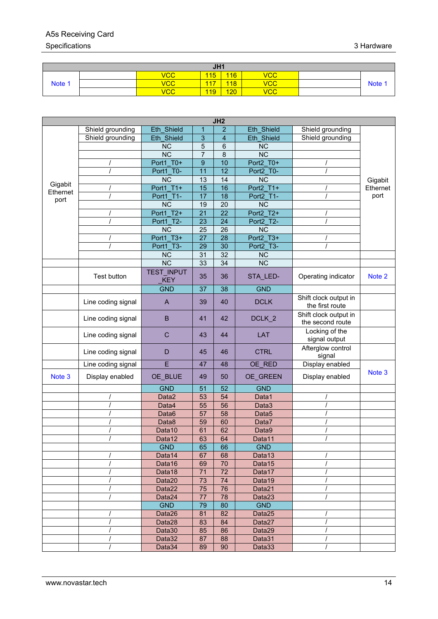### A5s Receiving Card

#### Specifications 3 Hardware 3 Hardware 3 Hardware 3 Hardware 3 Hardware 3 Hardware 3 Hardware 3 Hardware 3 Hardware 3 Hardware 3 Hardware 3 Hardware 3 Hardware 3 Hardware 3 Hardware 3 Hardware 3 Hardware 3 Hardware 3 Hardwar

| JH1    |  |                |            |     |            |        |
|--------|--|----------------|------------|-----|------------|--------|
|        |  | $\mathsf{VCC}$ | 115        | 116 | <b>VCC</b> |        |
| Note 1 |  | <b>VCC</b>     | 117        | 118 | <b>VCC</b> | Note 1 |
|        |  | <b>VCC</b>     | <b>119</b> | 120 | <b>VCC</b> |        |

| Shield grounding<br>Eth Shield<br>1<br>$\overline{2}$<br>3<br>Eth Shield<br>Shield grounding<br>$\boldsymbol{4}$<br>5<br><b>NC</b><br>6 | Eth Shield<br>Eth Shield | Shield grounding                         |          |
|-----------------------------------------------------------------------------------------------------------------------------------------|--------------------------|------------------------------------------|----------|
|                                                                                                                                         |                          |                                          |          |
|                                                                                                                                         |                          | Shield grounding                         |          |
|                                                                                                                                         | <b>NC</b>                |                                          |          |
| $\overline{7}$<br><b>NC</b><br>8                                                                                                        | $\overline{NC}$          |                                          |          |
| 10<br>$\boldsymbol{9}$<br>Port1 T0+                                                                                                     | Port2 T0+                |                                          |          |
| Port1 T0-<br>$\overline{12}$<br>11                                                                                                      | Port2 T0-                |                                          |          |
| <b>NC</b><br>13<br>14                                                                                                                   | <b>NC</b>                |                                          | Gigabit  |
| Gigabit<br>Port1 T1+<br>16<br>15<br>Ethernet                                                                                            | Port2 T1+                |                                          | Ethernet |
| <b>Port1 T1-</b><br>17<br>18<br>port                                                                                                    | Port2 T1-                |                                          | port     |
| $\overline{20}$<br><b>NC</b><br>19                                                                                                      | $\overline{\text{NC}}$   |                                          |          |
| Port1 T2+<br>22<br>21                                                                                                                   | Port2 T2+                |                                          |          |
| Port1 T2-<br>24<br>23                                                                                                                   | Port2 T2-                |                                          |          |
| <b>NC</b><br>26<br>25                                                                                                                   | <b>NC</b>                |                                          |          |
| 28<br>Port1 T3+<br>27                                                                                                                   | Port2 T3+                |                                          |          |
| 30<br>Port1 T3-<br>29                                                                                                                   | Port2 T3-                |                                          |          |
| $\overline{32}$<br><b>NC</b><br>31                                                                                                      | <b>NC</b>                |                                          |          |
| $\overline{\text{NC}}$<br>34<br>33                                                                                                      | $\overline{\text{NC}}$   |                                          |          |
| <b>TEST INPUT</b><br>Test button<br>35<br>36<br><b>KEY</b>                                                                              | STA_LED-                 | Operating indicator                      | Note 2   |
| <b>GND</b><br>38<br>37                                                                                                                  | <b>GND</b>               |                                          |          |
|                                                                                                                                         |                          | Shift clock output in                    |          |
| Line coding signal<br>39<br>40<br>$\mathsf{A}$                                                                                          | <b>DCLK</b>              | the first route<br>Shift clock output in |          |
| Line coding signal<br>B<br>41<br>42                                                                                                     | DCLK_2                   | the second route                         |          |
| Line coding signal<br>C<br>43<br>44                                                                                                     | <b>LAT</b>               | Locking of the<br>signal output          |          |
| Line coding signal<br>D<br>45<br>46                                                                                                     | <b>CTRL</b>              | Afterglow control<br>signal              |          |
| Line coding signal<br>E<br>47<br>48                                                                                                     | OE_RED                   | Display enabled                          |          |
| Note 3<br>Display enabled<br>OE_BLUE<br>50<br>49                                                                                        | OE_GREEN                 | Display enabled                          | Note 3   |
| <b>GND</b><br>52<br>51                                                                                                                  | <b>GND</b>               |                                          |          |
| Data2<br>54<br>53                                                                                                                       | Data1                    |                                          |          |
| $\overline{56}$<br>55<br>Data4                                                                                                          | Data3                    |                                          |          |
| $\prime$<br>57<br>58<br>Data6                                                                                                           | Data <sub>5</sub>        |                                          |          |
| 60<br>Data8<br>59                                                                                                                       | Data7                    |                                          |          |
| 62<br>Data10<br>61                                                                                                                      | Data9                    |                                          |          |
| 63<br>64<br>Data12                                                                                                                      | Data11                   |                                          |          |
| 65<br>66<br><b>GND</b>                                                                                                                  | <b>GND</b>               |                                          |          |
| Data14<br>67<br>68                                                                                                                      | Data13                   |                                          |          |
| Data16<br>70<br>69                                                                                                                      | Data15                   |                                          |          |
| 72<br>71<br>Data18                                                                                                                      | Data17                   |                                          |          |
| 74<br>Data20<br>73                                                                                                                      | Data19                   |                                          |          |
| Data22<br>75<br>76                                                                                                                      | Data21                   |                                          |          |
| 78<br>Data24<br>77                                                                                                                      | Data23                   |                                          |          |
| <b>GND</b><br>79<br>80                                                                                                                  | <b>GND</b>               |                                          |          |
| 81<br>82<br>Data26                                                                                                                      | Data25                   |                                          |          |
| 83<br>84<br>Data28                                                                                                                      | Data27                   |                                          |          |
| Data30<br>85<br>86                                                                                                                      | Data29                   |                                          |          |
| Data32<br>87<br>88                                                                                                                      | Data31                   |                                          |          |
| Data34<br>89<br>90                                                                                                                      | Data33                   |                                          |          |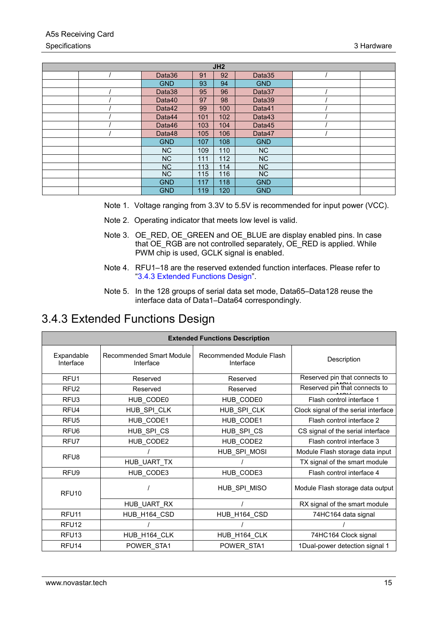|                |     | JH2 |            |  |
|----------------|-----|-----|------------|--|
| Data36         | 91  | 92  | Data35     |  |
| <b>GND</b>     | 93  | 94  | <b>GND</b> |  |
| Data38         | 95  | 96  | Data37     |  |
| Data40         | 97  | 98  | Data39     |  |
| Data42         | 99  | 100 | Data41     |  |
| Data44         | 101 | 102 | Data43     |  |
| Data46         | 103 | 104 | Data45     |  |
| Data48         | 105 | 106 | Data47     |  |
| <b>GND</b>     | 107 | 108 | <b>GND</b> |  |
| N <sub>C</sub> | 109 | 110 | <b>NC</b>  |  |
| <b>NC</b>      | 111 | 112 | <b>NC</b>  |  |
| <b>NC</b>      | 113 | 114 | <b>NC</b>  |  |
| N <sub>C</sub> | 115 | 116 | <b>NC</b>  |  |
| <b>GND</b>     | 117 | 118 | <b>GND</b> |  |
| <b>GND</b>     | 119 | 120 | <b>GND</b> |  |

- <span id="page-18-2"></span>Note 1. Voltage ranging from 3.3V to 5.5V is recommended for input power (VCC).
- <span id="page-18-3"></span>Note 2. Operating indicator that meets low level is valid.
- <span id="page-18-4"></span>Note 3. OE\_RED, OE\_GREEN and OE\_BLUE are display enabled pins. In case that OE\_RGB are not controlled separately, OE\_RED is applied. While PWM chip is used, GCLK signal is enabled.
- Note 4. RFU1–18 are the reserved extended function interfaces. Please refer to ["3.4.3 Extended Functions Design"](#page-18-0).
- Note 5. In the 128 groups of serial data set mode, Data65–Data128 reuse the interface data of Data1–Data64 correspondingly.

### <span id="page-18-1"></span><span id="page-18-0"></span>3.4.3 Extended Functions Design

| <b>Extended Functions Description</b> |                                       |                                       |                                      |  |  |
|---------------------------------------|---------------------------------------|---------------------------------------|--------------------------------------|--|--|
| Expandable<br>Interface               | Recommended Smart Module<br>Interface | Recommended Module Flash<br>Interface | Description                          |  |  |
| RFU <sub>1</sub>                      | Reserved                              | Reserved                              | Reserved pin that connects to        |  |  |
| RFU <sub>2</sub>                      | Reserved                              | Reserved                              | Reserved pin that connects to        |  |  |
| RFU <sub>3</sub>                      | HUB_CODE0                             | HUB CODE0                             | Flash control interface 1            |  |  |
| RFU4                                  | HUB SPI CLK                           | HUB SPI CLK                           | Clock signal of the serial interface |  |  |
| RFU <sub>5</sub>                      | HUB CODE1                             | HUB CODE1                             | Flash control interface 2            |  |  |
| RFU <sub>6</sub>                      | HUB SPI CS                            | HUB SPI CS                            | CS signal of the serial interface    |  |  |
| RFU7                                  | HUB CODE2                             | HUB CODE2                             | Flash control interface 3            |  |  |
| RFU8                                  |                                       | HUB SPI MOSI                          | Module Flash storage data input      |  |  |
|                                       | HUB_UART_TX                           |                                       | TX signal of the smart module        |  |  |
| RFU <sub>9</sub>                      | HUB CODE3                             | HUB_CODE3                             | Flash control interface 4            |  |  |
| RFU <sub>10</sub>                     |                                       | HUB_SPI_MISO                          | Module Flash storage data output     |  |  |
|                                       | HUB UART RX                           |                                       | RX signal of the smart module        |  |  |
| RFU <sub>11</sub>                     | HUB_H164_CSD                          | HUB_H164_CSD                          | 74HC164 data signal                  |  |  |
| RFU <sub>12</sub>                     |                                       |                                       |                                      |  |  |
| RFU <sub>13</sub>                     | HUB_H164_CLK                          | HUB_H164_CLK                          | 74HC164 Clock signal                 |  |  |
| RFU <sub>14</sub>                     | POWER STA1                            | POWER STA1                            | 1Dual-power detection signal 1       |  |  |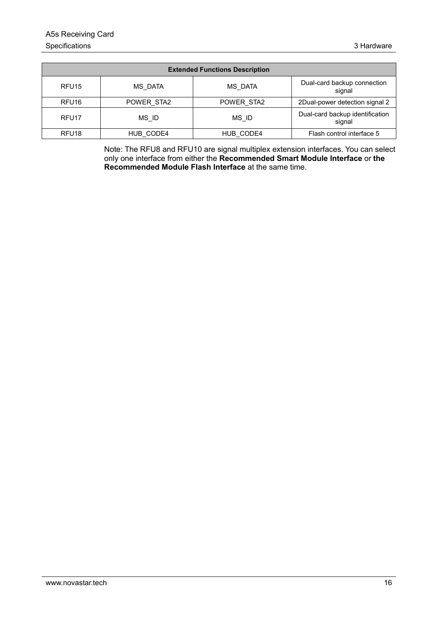| <b>Extended Functions Description</b> |            |            |                                           |  |  |
|---------------------------------------|------------|------------|-------------------------------------------|--|--|
| RFU <sub>15</sub>                     | MS DATA    | MS DATA    | Dual-card backup connection<br>signal     |  |  |
| RFU <sub>16</sub>                     | POWER STA2 | POWER STA2 | 2Dual-power detection signal 2            |  |  |
| RFU <sub>17</sub>                     | MS ID      | MS ID      | Dual-card backup identification<br>signal |  |  |
| RFU <sub>18</sub>                     | HUB CODE4  | HUB CODE4  | Flash control interface 5                 |  |  |

Note: The RFU8 and RFU10 are signal multiplex extension interfaces. You can select only one interface from either the **Recommended Smart Module Interface** or **the Recommended Module Flash Interface** at the same time.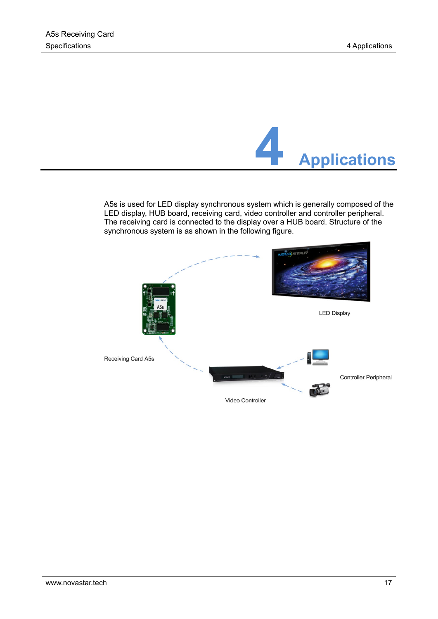

<span id="page-20-0"></span>A5s is used for LED display synchronous system which is generally composed of the LED display, HUB board, receiving card, video controller and controller peripheral. The receiving card is connected to the display over a HUB board. Structure of the synchronous system is as shown in the following figure.

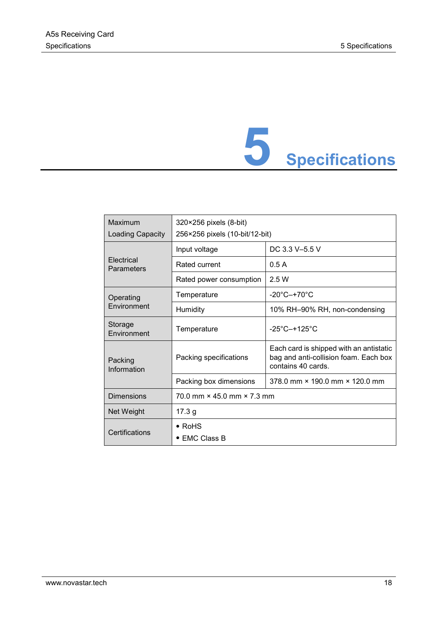# **5 Specifications**

<span id="page-21-0"></span>

| Maximum<br><b>Loading Capacity</b> | 320×256 pixels (8-bit)<br>256×256 pixels (10-bit/12-bit) |                                                                                                        |  |  |  |
|------------------------------------|----------------------------------------------------------|--------------------------------------------------------------------------------------------------------|--|--|--|
|                                    | Input voltage                                            | DC 3.3 V-5.5 V                                                                                         |  |  |  |
| Electrical<br>Parameters           | Rated current                                            | 0.5A                                                                                                   |  |  |  |
|                                    | Rated power consumption                                  | 2.5 W                                                                                                  |  |  |  |
| Operating                          | Temperature                                              | $-20^{\circ}$ C $-+70^{\circ}$ C                                                                       |  |  |  |
| Environment                        | Humidity                                                 | 10% RH-90% RH, non-condensing                                                                          |  |  |  |
| Storage<br>Environment             | Temperature                                              | $-25^{\circ}$ C $-+125^{\circ}$ C                                                                      |  |  |  |
| Packing<br>Information             | Packing specifications                                   | Each card is shipped with an antistatic<br>bag and anti-collision foam. Each box<br>contains 40 cards. |  |  |  |
|                                    | Packing box dimensions                                   | 378.0 mm × 190.0 mm × 120.0 mm                                                                         |  |  |  |
| <b>Dimensions</b>                  | $70.0$ mm $\times$ 45.0 mm $\times$ 7.3 mm               |                                                                                                        |  |  |  |
| Net Weight                         | 17.3 <sub>g</sub>                                        |                                                                                                        |  |  |  |
| Certifications                     | $\bullet$ RoHS<br>$\bullet$ EMC Class B                  |                                                                                                        |  |  |  |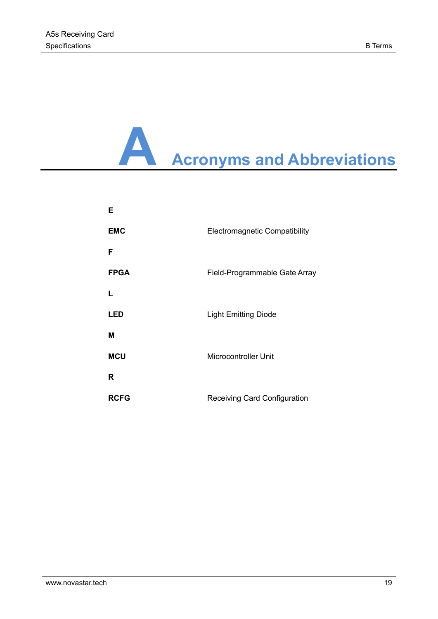## **A Acronyms and Abbreviations**

| Е           |                                      |
|-------------|--------------------------------------|
| <b>EMC</b>  | <b>Electromagnetic Compatibility</b> |
| F           |                                      |
| <b>FPGA</b> | Field-Programmable Gate Array        |
| L           |                                      |
| <b>LED</b>  | <b>Light Emitting Diode</b>          |
| Μ           |                                      |
| <b>MCU</b>  | <b>Microcontroller Unit</b>          |
| R           |                                      |
| <b>RCFG</b> | <b>Receiving Card Configuration</b>  |